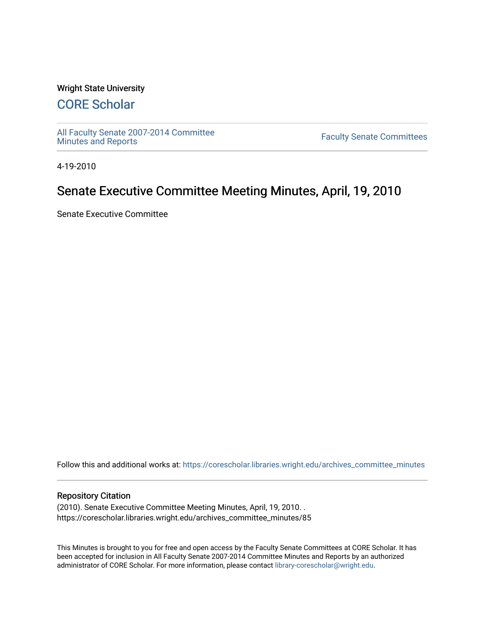### Wright State University

# [CORE Scholar](https://corescholar.libraries.wright.edu/)

[All Faculty Senate 2007-2014 Committee](https://corescholar.libraries.wright.edu/archives_committee_minutes)

**Faculty Senate Committees** 

4-19-2010

# Senate Executive Committee Meeting Minutes, April, 19, 2010

Senate Executive Committee

Follow this and additional works at: [https://corescholar.libraries.wright.edu/archives\\_committee\\_minutes](https://corescholar.libraries.wright.edu/archives_committee_minutes?utm_source=corescholar.libraries.wright.edu%2Farchives_committee_minutes%2F85&utm_medium=PDF&utm_campaign=PDFCoverPages) 

#### Repository Citation

(2010). Senate Executive Committee Meeting Minutes, April, 19, 2010. . https://corescholar.libraries.wright.edu/archives\_committee\_minutes/85

This Minutes is brought to you for free and open access by the Faculty Senate Committees at CORE Scholar. It has been accepted for inclusion in All Faculty Senate 2007-2014 Committee Minutes and Reports by an authorized administrator of CORE Scholar. For more information, please contact [library-corescholar@wright.edu.](mailto:library-corescholar@wright.edu)